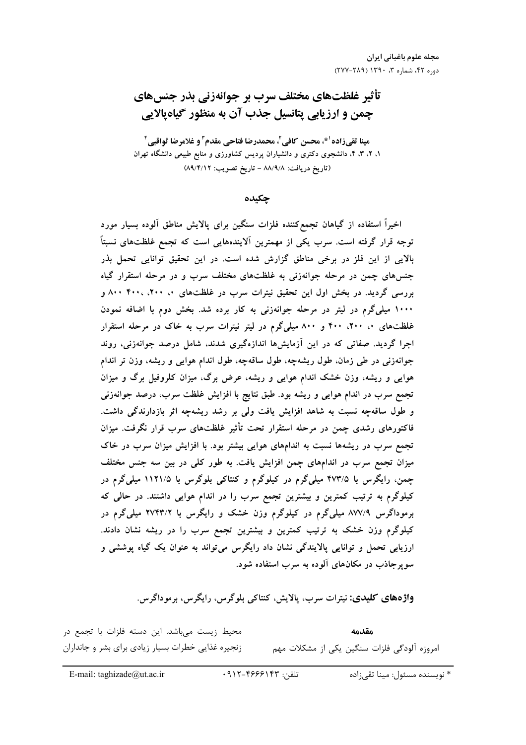# تأثیر غلظتهای مختلف سرب بر جوانهزنی بذر جنسهای چمن و ارزیابی پتانسیل جذب آن به منظور گیاهیالایی

مينا تقي زاده<sup>1</sup>\*، محسن كافي<sup>7</sup>، محمدرضا فتاحي مقدم<sup>۳</sup> و غلامرضا ثواقبي<sup>1</sup> ۱، ۲، ۳، ۴، دانشجوی دکتری و دانشیاران پردیس کشاورزی و منابع طبیعی دانشگاه تهران (تاريخ دريافت: ٨٨/٩/٨ - تاريخ تصويب: ٨٩/٤/١٢)

چکیده

اخیراً استفاده از گیاهان تجمع کننده فلزات سنگین برای پالایش مناطق آلوده بسیار مورد توجه قرار گرفته است. سرب یکی از مهمترین اَلایندههایی است که تجمع غلظتهای نسبتاً بالایی از این فلز در برخی مناطق گزارش شده است. در این تحقیق توانایی تحمل بذر جنسهای چمن در مرحله جوانهزنی به غلظتهای مختلف سرب و در مرحله استقرار گیاه بررسی گردید. در بخش اول این تحقیق نیترات سرب در غلظتهای ۰، ۲۰۰، ۴۰۰، ۸۰۰ مو ۱۰۰۰ میلیگرم در لیتر در مرحله جوانهزنی به کار برده شد. بخش دوم با اضافه نمودن غلظتهای ۰، ۲۰۰، ۴۰۰ و ۸۰۰ میلیگرم در لیتر نیترات سرب به خاک در مرحله استقرار اجرا گردید. صفاتی که در این آزمایشها اندازهگیری شدند، شامل درصد جوانهزنی، روند جوانهزنی در طی زمان، طول ریشهچه، طول ساقهچه، طول اندام هوایی و ریشه، وزن تر اندام هوایی و ریشه، وزن خشک اندام هوایی و ریشه، عرض برگ، میزان کلروفیل برگ و میزان تجمع سرب در اندام هوایی و ریشه بود. طبق نتایج با افزایش غلظت سرب، درصد جوانهزنی و طول ساقهچه نسبت به شاهد افزایش یافت ولی بر رشد ریشهچه اثر بازدارندگی داشت. فاکتورهای رشدی چمن در مرحله استقرار تحت تأثیر غلظتهای سرب قرار نگرفت. میزان تجمع سرب در ریشهها نسبت به اندامهای هوایی بیشتر بود. با افزایش میزان سرب در خاک میزان تجمع سرب در اندامهای چمن افزایش یافت. به طور کلی در بین سه جنس مختلف چمن، رایگرس با ۴۷۳/۵ میلیگرم در کیلوگرم و کنتاکی بلوگرس با ۱۱۲۱/۵ میلیگرم در کیلوگرم به ترتیب کمترین و بیشترین تجمع سرب را در اندام هوایی داشتند. در حالی که برموداگرس ۸۷۷/۹ میلیگرم در کیلوگرم وزن خشک و رایگرس با ۲۷۴۳/۲ میلیگرم در کیلوگرم وزن خشک به ترتیب کمترین و بیشترین تجمع سرب را در ریشه نشان دادند. ارزيابي تحمل و توانايي پالايندگي نشان داد رايگرس مي تواند به عنوان يک گياه پوششي و سو پر جاذب در مکانهای آلوده به سرب استفاده شود.

**واژەهاي كليدى:** نيترات سرب، پالايش، كنتاكى بلوگرس، رايگرس، برموداگرس.

| محیط زیست میباشد. این دسته فلزات با تجمع در        | مقدمه                                       |
|----------------------------------------------------|---------------------------------------------|
| زنجیره غذایی خطرات بسیار زیادی برای بشر و جانداران | امروزه آلودگی فلزات سنگین یکی از مشکلات مهم |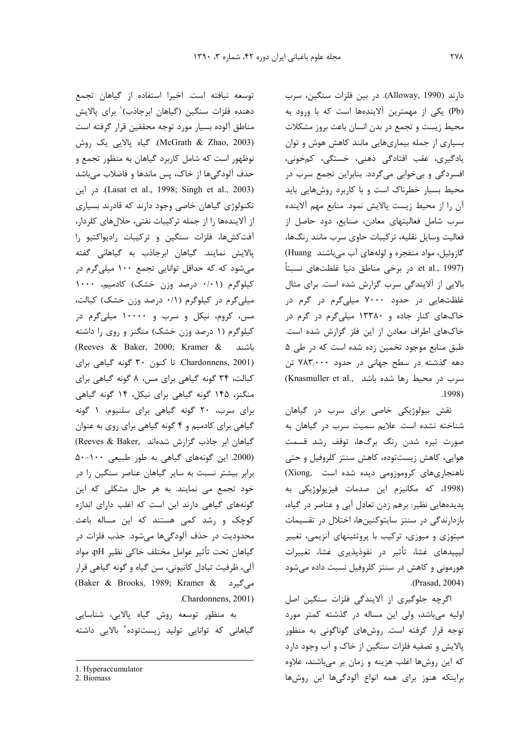دارند (Alloway, 1990). در بین فلزات سنگین، سرب (Pb) یکی از مهمترین آلایندهها است که با ورود به محیط زیست و تجمع در بدن انسان باعث بروز مشکلات بسیاری از جمله بیماریهایی مانند کاهش هوش و توان یادگیری، عقب افتادگی ذهنی، خستگی، کمخونی، افسردگی و بی خوابی میگردد. بنابراین تجمع سرب در محیط بسیار خطرناک است و با کاربرد روشهایی باید آن را از محيط زيست پالايش نمود. منابع مهم آلاينده سرب شامل فعالیتهای معادن، صنایع، دود حاصل از فعالیت وسایل نقلیه، ترکیبات حاوی سرب مانند رنگها، گازوئیل، مواد منفجره و لولههای آب میباشند Huang) et al., 1997). در برخی مناطق دنیا غلظتهای نسبتاً بالایی از آلایندگی سرب گزارش شده است. برای مثال غلظتهایی در حدود ۷۰۰۰ میلیگرم در گرم در خاکهای کنار جاده و ۱۳۳۸۰ میلی گرم در گرم در خاکهای اطراف معادن از این فلز گزارش شده است. طبق منابع موجود تخمین زده شده است که در طی ۵ دهه گذشته در سطح جهانی در حدود ۷۸۳٬۰۰۰ تن (Knasmuller et al., سرب در محیط رها شده باشد .1998)

نقش بیولوژیکی خاصی برای سرب در گیاهان شناخته نشده است. علایم سمیت سرب در گیاهان به صورت تیره شدن رنگ برگها، توقف رشد قسمت هوایی، کاهش زیستتوده، کاهش سنتز کلروفیل و حتی ناهنجاری های کروموزومی دیده شده است .(Xiong (1998، كه مكانيزم اين صدمات فيزيولوژيكى به پدیدههایی نظیر: برهم زدن تعادل آبی و عناصر در گیاه، بازدارندگی در سنتز سایتوکنینها، اختلال در تقسیمات میتوزی و میوزی، ترکیب با پروتئینهای آنزیمی، تغییر لیپیدهای غشا، تأثیر در نفوذپذیری غشا، تغییرات هورمونی و کاهش در سنتز کلروفیل نسبت داده می شود .(Prasad, 2004)

اگرچه جلوگیری از آلایندگی فلزات سنگین اصل اولیه می باشد، ولی این مساله در گذشته کمتر مورد توجه قرار گرفته است. روشهای گوناگونی به منظور پالایش و تصفیه فلزات سنگین از خاک و آب وجود دارد که این روشها اغلب هزینه و زمان بر میباشند، علاوه براینکه هنوز برای همه انواع آلودگیها این روشها

توسعه نيافته است. اخيرا استفاده از گياهان تجمع دهنده فلزات سنگین (گیاهان ابرجاذب)` برای پالایش مناطق آلوده بسيار مورد توجه محققين قرار گرفته است (McGrath & Zhao, 2003). گياه پالايي يک روش نوظهور است که شامل کاربرد گیاهان به منظور تجمع و حذف آلودگی ها از خاک، پس ماندها و فاضلاب می باشد در این (Lasat et al., 1998; Singh et al., 2003). تکنولوژی گیاهان خاصی وجود دارند که قادرند بسیاری از آلایندهها را از جمله ترکیبات نفتی، حلالهای کلردار، آفت کشها، فلزات سنگین و ترکیبات رادیواکتیو را پالایش نمایند. گیاهان ابرجاذب به گیاهانی گفته میشود که که حداقل توانایی تجمع ۱۰۰ میلیگرم در کیلوگرم (۰/۱۰ درصد وزن خشک) کادمیم، ۱۰۰۰ میلیگرم در کیلوگرم (۰/۱ درصد وزن خشک) کبالت، مس، کروم، نیکل و سرب و ۱۰۰۰۰ میلیگرم در کیلوگرم (۱ درصد وزن خشک) منگنز و روی را داشته (Reeves & Baker, 2000; Kramer & ماشند Chardonnens, 2001). تا کنون ۳۰ گونه گیاهی برای کبالت، ۳۴ گونه گیاهی برای مس، ۸ گونه گیاهی برای منگنز، ۱۴۵ گونه گیاهی برای نیکل، ۱۴ گونه گیاهی برای سرب، ٢٠ گونه گياهي براي سلنيوم، ١ گونه گیاهی برای کادمیم و ۴ گونه گیاهی برای روی به عنوان (Reeves & Baker, كياهان ابر جاذب گزارش شدهاند) (2000. این گونههای گیاهی به طور طبیعی ١٠٠-۵٠ برابر بیشتر نسبت به سایر گیاهان عناصر سنگین را در خود تجمع می نمایند. به هر حال مشکلی که این گونههای گیاهی دارند این است که اغلب دارای اندازه کوچک و رشد کمی هستند که این مساله باعث محدوديت در حذف آلودگيها ميشود. جذب فلزات در گیاهان تحت تأثیر عوامل مختلف خاکی نظیر pH، مواد آلی، ظرفیت تبادل کاتیونی، سن گیاه و گونه گیاهی قرار می گیرد (Baker & Brooks, 1989; Kramer & Chardonnens, 2001).

به منظور توسعه روش گیاه پالایی، شناسایی گیاهانی که توانایی تولید زیستتوده<sup>۲</sup> بالایی داشته

<sup>1.</sup> Hyperaccumulator

<sup>2.</sup> Biomass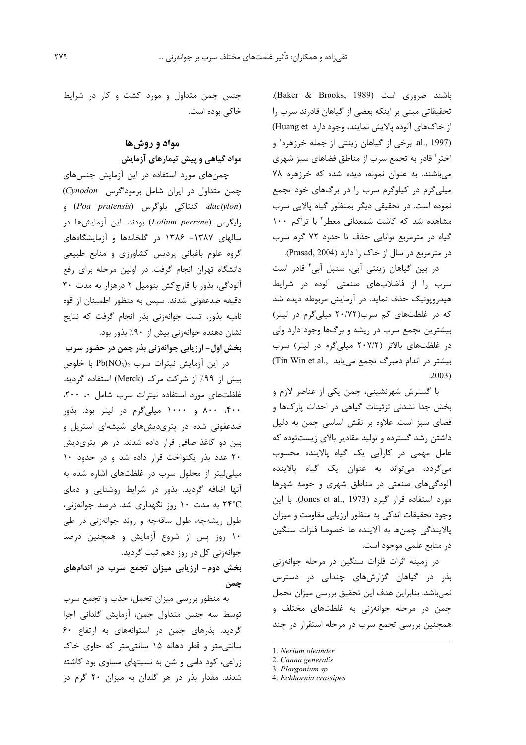باشند ضروری است (Baker & Brooks, 1989). تحقیقاتی مبنی بر اینکه بعضی از گیاهان قادرند سرب را از خاکهای آلوده پالایش نمایند، وجود دارد Huang et) al., 1997). برخی از گیاهان زینتی از جمله خرزهره<sup>۱</sup> و اختر` قادر به تجمع سرب از مناطق فضاهای سبز شهری می باشند. به عنوان نمونه، دیده شده که خرزهره ۷۸ میلیگرم در کیلوگرم سرب را در برگهای خود تجمع نموده است. در تحقیقی دیگر بمنظور گیاه پالایی سرب مشاهده شد که کاشت شمعدانی معطر " با تراکم ١٠٠ گیاه در مترمربع توانایی حذف تا حدود ۷۲ گرم سرب در مترمربع در سال از خاک را دارد (Prasad, 2004).

در بین گیاهان زینتی آبی، سنبل آبی ٔ قادر است سرب را از فاضلابهای صنعتی آلوده در شرایط هیدروپونیک حذف نماید. در آزمایش مربوطه دیده شد که در غلظتهای کم سرب(۲۰/۷۲ میلی گرم در لیتر) بیشترین تجمع سرب در ریشه و برگها وجود دارد ولی در غلظتهای بالاتر (٢٠٧/٢ میلیگرم در لیتر) سرب بیشتر در اندام دمبرگ تجمع می یابد .Tin Win et al  $.2003)$ 

با گسترش شهرنشینی، چمن یکی از عناصر لازم و بخش جدا نشدنی تزئینات گیاهی در احداث پارکها و فضای سبز است. علاوه بر نقش اساسی چمن به دلیل داشتن رشد گسترده و تولید مقادیر بالای زیستتوده که عامل مهمی در کارآیی یک گیاه پالاینده محسوب مي گردد، مي تواند به عنوان يک گياه پالاينده آلودگیهای صنعتی در مناطق شهری و حومه شهرها مورد استفاده قرار گیرد (Jones et al., 1973). با این وجود تحقیقات اندکی به منظور ارزیابی مقاومت و میزان پالایندگی چمنها به آلاینده ها خصوصا فلزات سنگین در منابع علمی موجود است.

در زمینه اثرات فلزات سنگین در مرحله جوانهزنی بذر در گیاهان گزارشهای چندانی در دسترس نمیباشد. بنابراین هدف این تحقیق بررسی میزان تحمل چمن در مرحله جوانهزنی به غلظتهای مختلف و همچنین بررسی تجمع سرب در مرحله استقرار در چند

جنس چمن متداول و مورد کشت و کار در شرایط خاکی بوده است.

## مواد و روشها مواد گیاهی و پیش تیمارهای آزمایش

چمنهای مورد استفاده در این آزمایش جنسهای چمن متداول در ایران شامل برموداگرس Cynodon) edactylon) و (Poa pratensis) و رایگرس (Lolium perrene) بودند. این آزمایشها در سالهای ۱۳۸۷- ۱۳۸۶ در گلخانهها و آزمایشگاههای گروه علوم باغبانی پردیس کشاورزی و منابع طبیعی دانشگاه تهران انجام گرفت. در اولین مرحله برای رفع آلودگی، بذور با قارچ کش بنومیل ۲ درهزار به مدت ۳۰ دقیقه ضدعفونی شدند. سپس به منظور اطمینان از قوه نامیه بذور، تست جوانهزنی بذر انجام گرفت که نتایج نشان دهنده جوانهزنی بیش از ۹۰٪ بذور بود.

بخش اول- ارزیابی جوانهزنی بذر چمن در حضور سرب

 $Pb(NO_3)_2$  در این آزمایش نیترات سرب  $Pb(NO_3)_2$  با خلوص بیش از ۹۹٪ از شرکت مرک (Merck) استفاده گردید. غلظتهای مورد استفاده نیترات سرب شامل ۰، ۲۰۰، ۴۰۰، ۸۰۰ و ۱۰۰۰ میلی گرم در لیتر بود. بذور ضدعفونی شده در پتریدیشهای شیشهای استریل و بین دو کاغذ صافی قرار داده شدند. در هر پتریدیش ۲۰ عدد بذر یکنواخت قرار داده شد و در حدود ۱۰ میلی لیتر از محلول سرب در غلظتهای اشاره شده به آنها اضافه گردید. بذور در شرایط روشنایی و دمای ۲۴°C به مدت ۱۰ روز نگهداری شد. درصد جوانهزنی، طول ریشهچه، طول ساقهچه و روند جوانهزنی در طی ۱۰ روز پس از شروع آزمایش و همچنین درصد جوانهزنی کل در روز دهم ثبت گردید.

بخش دوم- ارزیابی میزان تجمع سرب در اندامهای چمن

به منظور بررسی میزان تحمل، جذب و تجمع سرب توسط سه جنس متداول چمن، آزمایش گلدانی اجرا گردید. بذرهای چمن در استوانههای به ارتفاع ۶۰ سانتی متر و قطر دهانه ۱۵ سانتی متر که حاوی خاک زراعی، کود دامی و شن به نسبتهای مساوی بود کاشته شدند. مقدار بذر در هر گلدان به میزان ۲۰ گرم در

<sup>1.</sup> Nerium oleander

<sup>2.</sup> Canna generalis

<sup>3.</sup> Plargonium sp.

<sup>4.</sup> Echhornia crassipes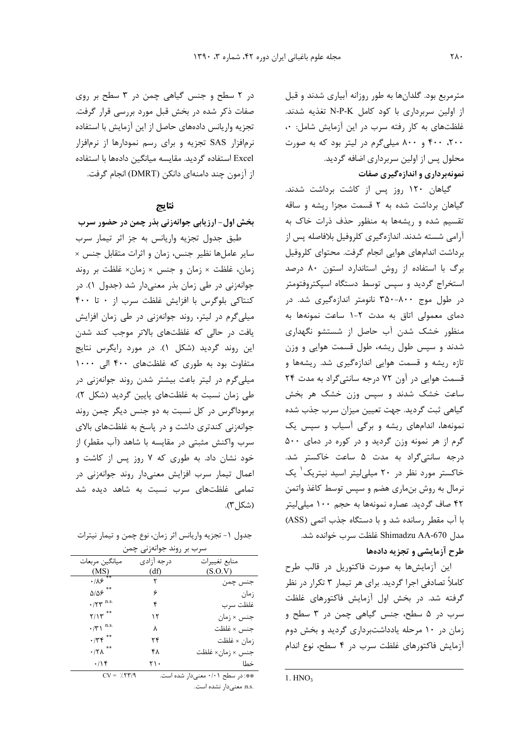مترمربع بود. گلدانها به طور روزانه آبیاری شدند و قبل از اولین سربرداری با کود کامل N-P-K تغذیه شدند. غلظتهای به کار رفته سرب در این آزمایش شامل: ٠، ۲۰۰، ۴۰۰ و ۸۰۰ میلی گرم در لیتر بود که به صورت محلول پس از اولین سربرداری اضافه گردید. نمونهبرداری و اندازهگیری صفات

گیاهان ۱۲۰ روز پس از کاشت برداشت شدند. گیاهان برداشت شده به ۲ قسمت مجزا ریشه و ساقه تقسیم شده و ریشهها به منظور حذف ذرات خاک به آرامی شسته شدند. اندازهگیری کلروفیل بلافاصله پس از برداشت اندامهای هوایی انجام گرفت. محتوای کلروفیل برگ با استفاده از روش استاندارد استون ۸۰ درصد استخراج گردید و سپس توسط دستگاه اسپکتروفتومتر در طول موج ۸۰۰-۳۵۰ نانومتر اندازهگیری شد. در دمای معمولی اتاق به مدت ۲-۱ ساعت نمونهها به منظور خشک شدن آب حاصل از شستشو نگهداری شدند و سپس طول ریشه، طول قسمت هوایی و وزن تازه ریشه و قسمت هوایی اندازهگیری شد. ریشهها و قسمت هوایی در آون ۷۲ درجه سانتی گراد به مدت ۲۴ ساعت خشک شدند و سپس وزن خشک هر بخش گیاهی ثبت گردید. جهت تعیین میزان سرب جذب شده نمونهها، اندامهای ریشه و برگی آسیاب و سپس یک گرم از هر نمونه وزن گردید و در کوره در دمای ۵۰۰ درجه سانتیگراد به مدت ۵ ساعت خاکستر شد. خاکستر مورد نظر در ۲۰ میلی لیتر اسید نیتریک<sup>۱</sup> یک نرمال به روش بنماری هضم و سپس توسط کاغذ واتمن ۴۲ صاف گردید. عصاره نمونهها به حجم ۱۰۰ میلی لیتر با آب مقطر رسانده شد و با دستگاه جذب اتمی (ASS) مدل Shimadzu AA-670 غلظت سرب خوانده شد. طرح آزمایشی و تجزیه دادهها

این آزمایشها به صورت فاکتوریل در قالب طرح کاملاً تصادفی اجرا گردید. برای هر تیمار ۳ تکرار در نظر گرفته شد. در بخش اول آزمایش فاکتورهای غلظت سرب در ۵ سطح، جنس گیاهی چمن در ۳ سطح و زمان در ۱۰ مرحله یادداشتبرداری گردید و بخش دوم آزمایش فاکتورهای غلظت سرب در ۴ سطح، نوع اندام

1.  $HNO<sub>3</sub>$ 

در ٢ سطح و جنس گیاهی چمن در ٣ سطح بر روی صفات ذکر شده در بخش قبل مورد بررسی قرار گرفت. تجزيه واريانس دادههاي حاصل از اين آزمايش با استفاده نرمافزار SAS تجزیه و برای رسم نمودارها از نرمافزار Excel استفاده گردید. مقایسه میانگین دادهها با استفاده از آزمون چند دامنهای دانکن (DMRT) انجام گرفت.

## نتايج

بخش اول- ارزیابی جوانهزنی بذر چمن در حضور سرب طبق جدول تجزیه واریانس به جز اثر تیمار سرب سایر عاملها نظیر جنس، زمان و اثرات متقابل جنس × زمان، غلظت × زمان و جنس × زمان× غلظت بر روند جوانهزنی در طی زمان بذر معنیدار شد (جدول ۱). در کنتاکی بلوگرس با افزایش غلظت سرب از ۰ تا ۴۰۰ میلی گرم در لیتر، روند جوانهزنی در طی زمان افزایش یافت در حالی که غلظتهای بالاتر موجب کند شدن این روند گردید (شکل ۱). در مورد رایگرس نتایج متفاوت بود به طوری که غلظتهای ۴۰۰ الی ۱۰۰۰ میلی گرم در لیتر باعث بیشتر شدن روند جوانهزنی در طی زمان نسبت به غلظتهای پایین گردید (شکل ۲). برموداگرس در کل نسبت به دو جنس دیگر چمن روند جوانهزنی کندتری داشت و در پاسخ به غلظتهای بالای سرب واکنش مثبتی در مقایسه با شاهد (آب مقطر) از خود نشان داد. به طوری که ۷ روز پس از کاشت و اعمال تیمار سرب افزایش معنیدار روند جوانهزنی در تمامی غلظتهای سرب نسبت به شاهد دیده شد (شكل ۳).

جدول ١- تجزيه واريانس اثر زمان، نوع چمن و تيمار نيترات

| سرب بر روند جوانهزنی چمن            |            |                               |
|-------------------------------------|------------|-------------------------------|
| ميانگين مربعات                      | درجه آزادی | منابع تغييرات                 |
| (MS)                                | (df)       | (S.O.V)                       |
| $\cdot$ /18                         |            | جنس چمن                       |
| $\Delta/\Delta \varphi$ **          | ۶          | زمان                          |
| $\cdot$ /۲۳ n.s.                    | ۴          | غلظت سرب                      |
| $Y/Y$ **                            | ۱۲         | جنس × زمان                    |
| $\cdot/\tau \wedge$ <sup>n.s.</sup> | ٨          | جنس × غلظت                    |
| $\cdot$ /٣۴                         | ۲۴         | زمان × غلظت                   |
| $\boldsymbol{\cdot}$ /٢٨ $^{**}$    | ۴۸         | جنس × زمان× غلظت              |
| .199                                | ۲۱۰        | خطا                           |
|                                     |            | $\mathbf{r}$ and $\mathbf{r}$ |

 $CV = \frac{7}{7}$ \*\*: در سطح ۰/۰۱ معنیدار شده است. .n.s معنىدار نشده است.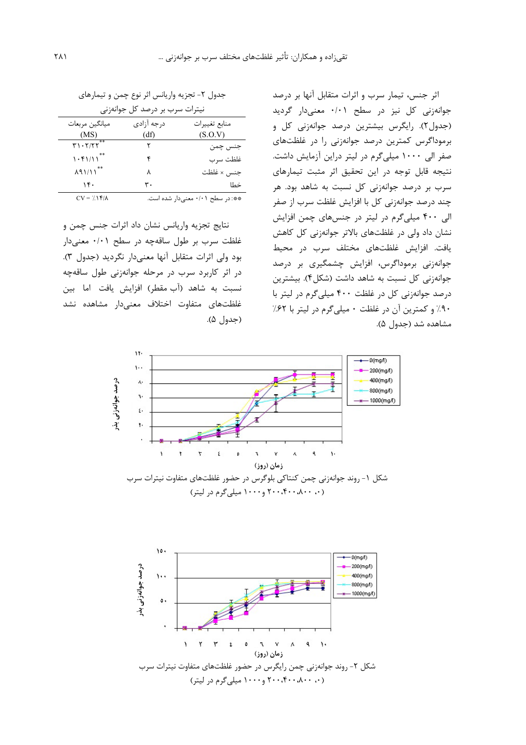اثر جنس، تیمار سرب و اثرات متقابل آنها بر درصد جوانهزنی کل نیز در سطح ۰/۰۱ معنیدار گردید (جدول٢). رايگرس بيشترين درصد جوانهزني كل و برموداگرس کمترین درصد جوانهزنی را در غلظتهای صفر الى ١٠٠٠ ميلي گرم در ليتر دراين آزمايش داشت. نتيجه قابل توجه در اين تحقيق اثر مثبت تيمارهاي سرب بر درصد جوانهزنی کل نسبت به شاهد بود. هر چند درصد جوانهزنی کل با افزایش غلظت سرب از صفر الی ۴۰۰ میلیگرم در لیتر در جنسهای چمن افزایش نشان داد ولی در غلظتهای بالاتر جوانهزنی کل کاهش یافت. افزایش غلظتهای مختلف سرب در محیط جوانەزنى برموداگرس، افزايش چشمگيرى بر درصد جوانهزنی کل نسبت به شاهد داشت (شکل۴). بیشترین درصد جوانهزنی کل در غلظت ۴۰۰ میلی گرم در لیتر با ۹۰٪ و کمترین آن در غلظت ۰ میلی گرم در لیتر با ۶۲٪ مشاهده شد (جدول ۵).

جدول ٢- تجزيه واريانس اثر نوع چمن و تيمارهاي

| نیترات سرب بر درصد کل جوانهزنی       |             |                                  |
|--------------------------------------|-------------|----------------------------------|
| میانگین مربعات                       | د, جه آزادی | منابع تغييرات                    |
| (MS)                                 | (df)        | (S.O.V)                          |
| T1.7/TT                              |             | جنس چمن                          |
| 1.51/11                              |             | غلظت سرب                         |
| $\lambda$ 91/11 <sup>**</sup>        | ٨           | جنس × غلظت                       |
| ۱۴۰                                  | ۳۰          | خطا                              |
| $CV = \frac{1}{2} \hat{Y} / \hat{Y}$ |             | **: در سطح ۰/۰۱ معنیدار شده است. |

نتایج تجزیه واریانس نشان داد اثرات جنس چمن و غلظت سرب بر طول ساقهچه در سطح ۰/۰۱ معنیدار بود ولي اثرات متقابل آنها معنى دار نگرديد (جدول ٣). در اثر کاربرد سرب در مرحله جوانهزنی طول ساقهچه نسبت به شاهد (آب مقطر) افزایش یافت اما بین غلظتهاى متفاوت اختلاف معنىدار مشاهده نشد (جدول ۵).



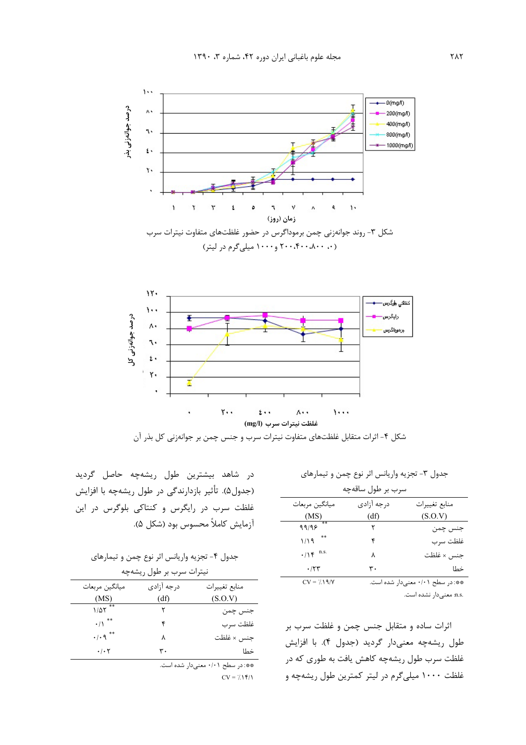



شکل ۴- اثرات متقابل غلظتهای متفاوت نیترات سرب و جنس چمن بر جوانهزنی کل بذر آن

| جدول ۳- تجزیه واریانس اثر نوع چمن و تیمارهای |  |
|----------------------------------------------|--|

| سرب بر طول ساقەچە |                                  |            |               |
|-------------------|----------------------------------|------------|---------------|
|                   | ميانگين مربعات                   | درجه آزادی | منابع تغييرات |
|                   | (MS)                             | (df)       | (S.O.V)       |
|                   | 99/95                            |            | جنس چمن       |
|                   | $1/19$ **                        | ۴          | غلظت سرب      |
|                   | $\cdot/\Upsilon$ <sup>n.s.</sup> | ٨          | جنس × غلظت    |
|                   | .75                              | ۳۰         | خطا           |
|                   |                                  |            |               |

\*\*: در سطح ۰/۰۱ معنىدار شده است.  $CV = 7.19/Y$ .n.s معنىدار نشده است.

اثرات ساده و متقابل جنس چمن و غلظت سرب بر طول ریشهچه معنیدار گردید (جدول ۴). با افزایش غلظت سرب طول ریشهچه کاهش یافت به طوری که در غلظت ۱۰۰۰ میلی گرم در لیتر کمترین طول ریشهچه و

در شاهد بیشترین طول ریشهچه حاصل گردید (جدول۵). تأثير بازدارندگي در طول ريشهچه با افزايش غلظت سرب در رایگرس و کنتاکی بلوگرس در این آزمايش كاملاً محسوس بود (شكل ۵).

جدول ۴- تجزیه واریانس اثر نوع چمن و تیمارهای

| نیترات سرب بر طول ریشهچه          |            |               |
|-----------------------------------|------------|---------------|
| ميانگين مربعات                    | درجه آزادي | منابع تغييرات |
| (MS)                              | (df)       | (S.O.V)       |
| $1/\Delta \Upsilon$ <sup>**</sup> |            | جنس چمن       |
| $\cdot/\rangle$ **                | ۴          | غلظت سرب      |
| $\cdot$ / $\cdot$ 9 $**$          | ٨          | جنس × غلظت    |
| $\cdot$ / $\cdot$ $\cdot$         | ۳٠         | خطا           |

\*\*: در سطح ۰/۰۱ معنیدار شده است.

 $CV = \frac{1}{2} \hat{Y}$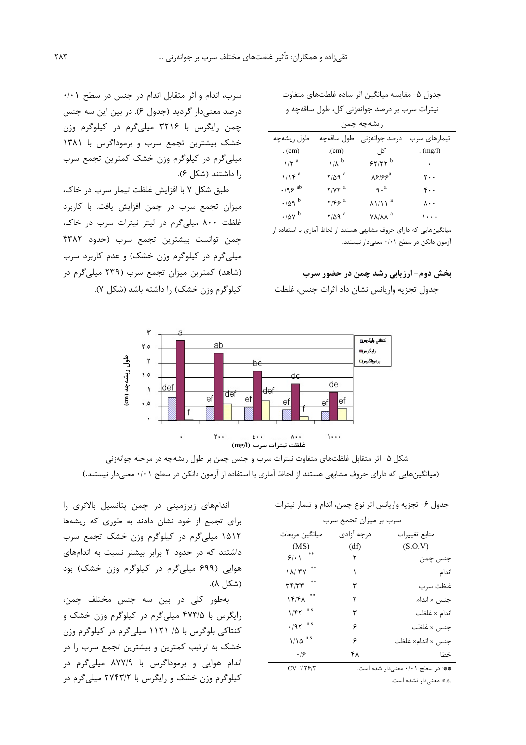جدول ۵- مقایسه میانگین اثر ساده غلظتهای متفاوت نیترات سرب بر درصد جوانهزنی کل، طول ساقهچه و  $\cdot$   $\sim$   $\sim$   $\sim$   $\sim$   $\sim$   $\sim$ 

| $\sim$                          |                           |                                                      |              |
|---------------------------------|---------------------------|------------------------------------------------------|--------------|
| طول ريشهچه                      | طول ساقەچە                | درصد جوانەزنى                                        | تیمارهای سرب |
| $_{\rm c}(cm)$                  | $_{\rm (cm)}$             | کل ِ                                                 | . $(mg/l)$   |
| $1/\zeta^a$                     | $1/\lambda^b$             | 57/77                                                | ٠            |
| $1/1$ ۴ <sup>a</sup>            | $Y/\Delta$ q <sup>a</sup> | $\lambda$ ۶۱۶۶                                       | ۲۰۰          |
| $\cdot$ /98 ab                  | $Y/YY^a$                  | $\mathcal{L}^a$                                      | ۴۰.          |
| $\cdot$ /09 $^{\rm b}$          | $Y/F9$ <sup>a</sup>       | $\lambda$ $\lambda$ $\lambda$ $\lambda$ <sup>a</sup> | ۸۰۰          |
| $\cdot$ / $\Delta$ Y $^{\rm b}$ | $Y/\Delta$ 9 <sup>a</sup> | AVIVY <sub>a</sub>                                   | ۰.۰۰         |
|                                 |                           |                                                      |              |

میانگینهایی که دارای حروف مشابهی هستند از لحاظ آماری با استفاده از آزمون دانكن در سطح ۰/۰۱ معنىدار نبستند.

### بخش دوم- ارزیابی رشد چمن در حضور سرب

جدول تجزیه واریانس نشان داد اثرات جنس، غلظت

سرب، اندام و اثر متقابل اندام در جنس در سطح ۰/۰۱ درصد معنی دار گردید (جدول ۶). در بین این سه جنس چمن رایگرس با ۳۲۱۶ میلیگرم در کیلوگرم وزن خشک بیشترین تجمع سرب و برموداگرس با ۱۳۸۱ میلی گرم در کیلوگرم وزن خشک کمترین تجمع سرب ,ا داشتند (شکل ۶).

طبق شکل ۷ با افزایش غلظت تیمار سرب در خاک، میزان تجمع سرب در چمن افزایش یافت. با کاربرد غلظت ۸۰۰ میلیگرم در لیتر نیترات سرب در خاک، چمن توانست بیشترین تجمع سرب (حدود ۴۳۸۲ میلی گرم در کیلوگرم وزن خشک) و عدم کاربرد سرب (شاهد) کمترین میزان تجمع سرب (۲۳۹ میلیگرم در کیلوگرم وزن خشک) را داشته باشد (شکل ۷).



شکل ۵- اثر متقابل غلظتهای متفاوت نیترات سرب و جنس چمن بر طول ریشهچه در مرحله جوانهزنی (میانگینهایی که دارای حروف مشابهی هستند از لحاظ آماری با استفاده از آزمون دانکن در سطح ۰/۰۱ معنیدار نیستند.)

جدول ۶- تجزيه واريانس اثر نوع چمن، اندام و تيمار نيترات

| سرب بر میزان تجمع سرب     |            |                                            |
|---------------------------|------------|--------------------------------------------|
| ميانگين مربعات            | درجه آزادی | منابع تغييرات                              |
| (MS)                      | (df)       | (S.O.V)                                    |
| **<br>91.1                | ٢          | جنس چمن                                    |
| $\lambda / \tau V$        |            | اندام                                      |
| ۳۴/۳۳                     | ٣          | غلظت سرب                                   |
| $\lambda$                 | ۲          | جنس × اندام                                |
| $1/fT^{n.s.}$             | ٣          | اندام × غلظت                               |
| $\cdot$ /97 n.s.          | ۶          | جنس × غلظت                                 |
| $1/\lambda \Delta^{n.s.}$ | ۶          | جنس × اندام× غلظت                          |
| .19                       | ۴۸         | خطا                                        |
| $CY'$ $Y$ $Y \sim Y''$    |            | لمعمودة السابط الملمينية الملاحظ ومالياتهم |

 $CV$  7.7 $5/7$ .n.s معنىدار نشده است.

اندامهای زیرزمینی در چمن پتانسیل بالاتری را برای تجمع از خود نشان دادند به طوری که ریشهها ۱۵۱۲ میلی گرم در کیلوگرم وزن خشک تجمع سرب داشتند که در حدود ۲ برابر بیشتر نسبت به اندامهای هوایی (۶۹۹ میلی گرم در کیلوگرم وزن خشک) بود (شكل ۸).

بهطور کلی در بین سه جنس مختلف چمن، رایگرس با ۴۷۳/۵ میلیگرم در کیلوگرم وزن خشک و کنتاکی بلوگرس با ۱/ ۱۱۲۱ میلی گرم در کیلوگرم وزن خشک به ترتیب کمترین و بیشترین تجمع سرب را در اندام هوایی و برموداگرس با ۸۷۷/۹ میلی گرم در کیلوگرم وزن خشک و رایگرس با ۲۷۴۳/۲ میلی گرم در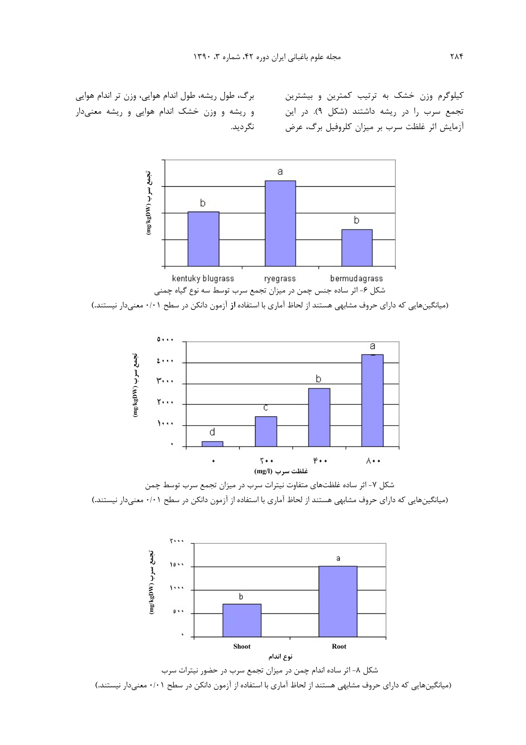کیلوگرم وزن خشک به ترتیب کمترین و بیشترین تجمع سرب را در ریشه داشتند (شکل ۹). در این أزمايش اثر غلظت سرب بر ميزان كلروفيل برگ، عرض

برگ، طول ریشه، طول اندام هوایی، وزن تر اندام هوایی و ریشه و وزن خشک اندام هوایی و ریشه معنیدار نگر دید.



(میانگینهایی که دارای حروف مشابهی هستند از لحاظ آماری با استفاده از آزمون دانکن در سطح ۰/۰۱ معنیدار نیستند.)



شکل ۷- اثر ساده غلظتهای متفاوت نیترات سرب در میزان تجمع سرب توسط چمن (میانگینهایی که دارای حروف مشابهی هستند از لحاظ آماری با استفاده از آزمون دانکن در سطح ۰/۰۱ معنیدار نیستند.)



شکل ۸- اثر ساده اندام چمن در میزان تجمع سرب در حضور نیترات سرب (میانگینهایی که دارای حروف مشابهی هستند از لحاظ آماری با استفاده از آزمون دانکن در سطح ۰/۰۱ معنیدار نیستند.)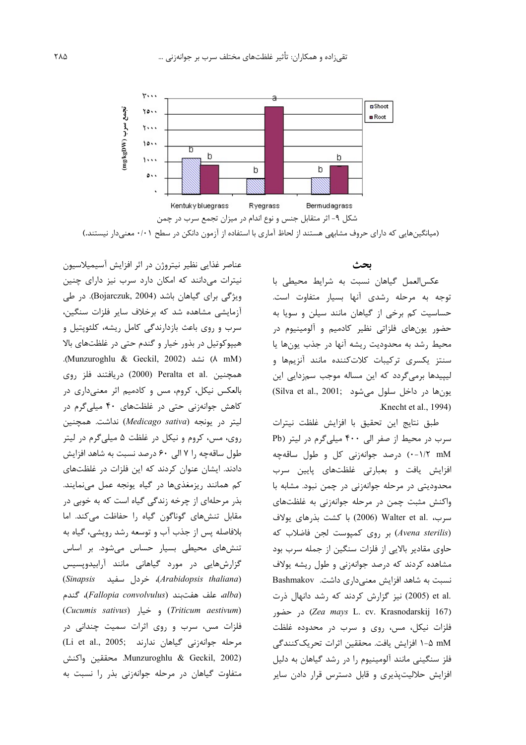

(میانگینهایی که دارای حروف مشابهی هستند از لحاظ آماری با استفاده از آزمون دانکن در سطح ۰/۰۱ معنیدار نیستند.)

بحث

عکسالعمل گیاهان نسبت به شرایط محیطی با توجه به مرحله رشدی آنها بسیار متفاوت است. حساسیت کم برخی از گیاهان مانند سیلن و سویا به حضور یونهای فلزاتی نظیر کادمیم و آلومینیوم در محيط رشد به محدوديت ريشه آنها در جذب يونها يا سنتز یکسری ترکیبات کلاتکننده مانند آنزیمها و لیپیدها برمیگردد که این مساله موجب سمزدایی این يون ها در داخل سلول مي شود (Silva et al., 2001; Knecht et al., 1994).

طبق نتايج اين تحقيق با افزايش غلظت نيترات سرب در محیط از صفر الی ۴۰۰ میلی گرم در لیتر (Pb ۰-۱/۲ mM) درصد جوانهزنی کل و طول ساقهچه افزایش یافت و بعبارتی غلظتهای پایین سرب محدودیتی در مرحله جوانهزنی در چمن نبود. مشابه با واکنش مثبت چمن در مرحله جوانهزنی به غلظتهای سرب، .Walter et al (2006) با كشت بذرهاى يولاف (Avena sterilis) بر روی کمپوست لجن فاضلاب که حاوی مقادیر بالایی از فلزات سنگین از جمله سرب بود مشاهده کردند که درصد جوانهزنی و طول ریشه یولاف نسبت به شاهد افزایش معنیداری داشت. Bashmakov .et al (2005) نیز گزارش کردند که رشد دانهال ذرت Cea mays L. cv. Krasnodarskij 167) در حضور فلزات نیکل، مس، روی و سرب در محدوده غلظت n-۵ mM افزایش یافت. محققین اثرات تحریککنندگی فلز سنگینی مانند آلومینیوم را در رشد گیاهان به دلیل افزایش حلالیتپذیری و قابل دسترس قرار دادن سایر

عناصر غذایی نظیر نیتروژن در اثر افزایش آسیمیلاسیون نیترات میدانند که امکان دارد سرب نیز دارای چنین ویژگی برای گیاهان باشد (Bojarczuk, 2004). در طی آزمایشی مشاهده شد که برخلاف سایر فلزات سنگین، سرب و روی باعث بازدارندگی کامل ریشه، کلئوپتیل و هيپوکوتيل در بذور خيار و گندم حتى در غلظتهاى بالا (Munzuroghlu & Geckil, 2002) نشد (Munzuroghlu & Geckil, 2002). همچنین .Peralta et al (2000) دریافتند فلز روی بالعکس نیکل، کروم، مس و کادمیم اثر معنیداری در کاهش جوانهزنی حتی در غلظتهای ۴۰ میلیگرم در ليتر در يونجه (Medicago sativa) نداشت. همچنين روی، مس، کروم و نیکل در غلظت ۵ میلیگرم در لیتر طول ساقهچه ,ا ۷ الی ۶۰ درصد نسبت به شاهد افزایش دادند. ایشان عنوان کردند که این فلزات در غلظتهای کم همانند ریزمغذیها در گیاه یونجه عمل مینمایند. بذر مرحلهای از چرخه زندگی گیاه است که به خوبی در مقابل تنشهای گوناگون گیاه را حفاظت میکند. اما بلافاصله پس از جذب آب و توسعه رشد رویشی، گیاه به تنشهای محیطی بسیار حساس میشود. بر اساس گزارشهایی در مورد گیاهانی مانند آرابیدوپسیس (Sinapsis خردل سفيد) (Arabidopsis thaliana) alba)، علف هفتبند (Fallopia convolvulus)، گندم (Cucumis sativus) و خيار (Cucumis sativus) فلزات مس، سرب و روی اثرات سمیت چندانی در (Li et al., 2005; مرحله جوانهزنی گیاهان ندارند Munzuroghlu & Geckil, 2002). محققين واكنش متفاوت گیاهان در مرحله جوانهزنی بذر را نسبت به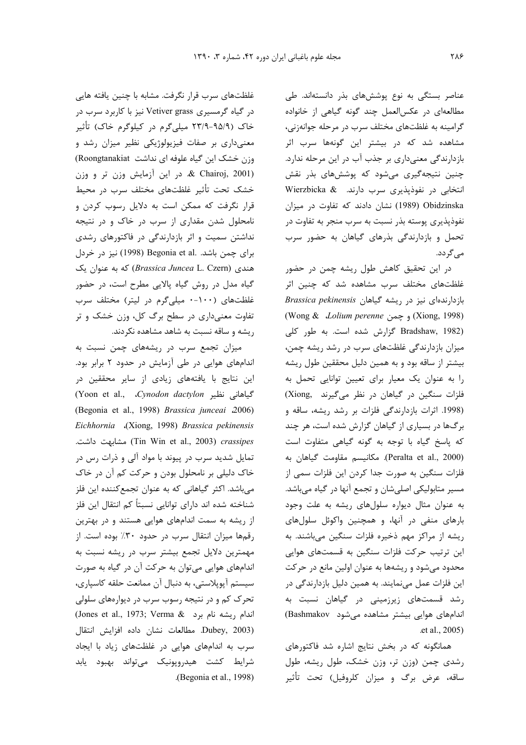عناصر بستگی به نوع پوششهای بذر دانستهاند. طی مطالعهای در عکسالعمل چند گونه گیاهی از خانواده گرامینه به غلظتهای مختلف سرب در مرحله جوانهزنی، مشاهده شد که در بیشتر این گونهها سرب اثر بازدارندگی معنیداری بر جذب آب در این مرحله ندارد. چنین نتیجهگیری میشود که پوششهای بذر نقش Wierzbicka & .بارند. Wierzbicka & Obidzinska (1989) نشان دادند که تفاوت در میزان نفوذپذیری پوسته بذر نسبت به سرب منجر به تفاوت در تحمل و بازدارندگی بذرهای گیاهان به حضور سرب مے گردد.

در این تحقیق کاهش طول ریشه چمن در حضور غلظتهای مختلف سرب مشاهده شد که چنین اثر بازدارندهای نیز در ریشه گیاهان *Brassica pekinensis* (Wong & *Lolium perenne* % m (Xiong, 1998) Bradshaw, 1982) گزارش شده است. به طور کلی میزان بازدارندگی غلظتهای سرب در رشد ریشه چمن، بیشتر از ساقه بود و به همین دلیل محققین طول ریشه را به عنوان یک معیار برای تعیین توانایی تحمل به فلزات سنگین در گیاهان در نظر میگیرند .Xiong (1998. اثرات بازدارندگی فلزات بر رشد ریشه، ساقه و برگها در بسیاری از گیاهان گزارش شده است، هر چند که پاسخ گیاه با توجه به گونه گیاهی متفاوت است (Peralta et al., 2000). مكانيسم مقاومت گياهان به فلزات سنگین به صورت جدا کردن این فلزات سمی از مسیر متابولیکی اصلیشان و تجمع آنها در گیاه میباشد. به عنوان مثال دیواره سلولهای ریشه به علت وجود بارهای منفی در آنها، و همچنین واکوئل سلولهای ریشه از مراکز مهم ذخیره فلزات سنگین میباشند. به این ترتیب حرکت فلزات سنگین به قسمتهای هوایی محدود می شود و ریشهها به عنوان اولین مانع در حرکت این فلزات عمل مینمایند. به همین دلیل بازدارندگی در رشد قسمتهای زیرزمینی در گیاهان نسبت به اندامهای هوایی بیشتر مشاهده میشود Bashmakov) .et al., 2005)

همانگونه که در بخش نتایج اشاره شد فاکتورهای رشدی چمن (وزن تر، وزن خشک، طول ریشه، طول ساقه، عرض برگ و میزان کلروفیل) تحت تأثیر

غلظتهای سرب قرار نگرفت. مشابه با چنین یافته هایی در گیاه گرمسیری Vetiver grass نیز با کاربرد سرب در خاک (۹۵/۹-۹۳/۹ میلیگرم در کیلوگرم خاک) تأثیر معنیداری بر صفات فیزیولوژیکی نظیر میزان رشد و وزن خشک این گیاه علوفه ای نداشت Roongtanakiat)  $\&$  Chairoj, 2001) در این آزمایش وزن تر و وزن  $\&$  Chairoj, 2001) خشک تحت تأثیر غلظتهای مختلف سرب در محیط قرار نگرفت که ممکن است به دلایل رسوب کردن و نامحلول شدن مقداری از سرب در خاک و در نتیجه نداشتن سمیت و اثر بازدارندگی در فاکتورهای رشدی برای چمن باشد. .Begonia et al (1998) نیز در خردل *هندی* (*Brassica Juncea* L. Czern) که به عنوان یک گیاه مدل در روش گیاه پالایی مطرح است، در حضور غلظتهای (۱۰۰-۰ میلیگرم در لیتر) مختلف سرب تفاوت معنیداری در سطح برگ کل، وزن خشک و تر ریشه و ساقه نسبت به شاهد مشاهده نکردند.

میزان تجمع سرب در ریشههای چمن نسبت به اندامهای هوایی در طی آزمایش در حدود ۲ برابر بود. این نتایج با یافتههای زیادی از سایر محققین در (Yoon et al., *Cynodon dactylon* 2"[ M "/ (Begonia et al., 1998) *Brassica junceai* 2006) *Eichhornia* (Xiong, 1998) *Brassica pekinensis* .7# 74: 6 (Tin Win et al., 2003) *crassipes* تمایل شدید سرب در پیوند با مواد آلی و ذرات رس در خاک دلیلی بر نامحلول بودن و حرکت کم آن در خاک میباشد. اکثر گیاهانی که به عنوان تجمعکننده این فلز شناخته شده اند دارای توانایی نسبتاً کم انتقال این فلز از ریشه به سمت اندامهای هوایی هستند و در بهترین رقمها میزان انتقال سرب در حدود ۳۰٪ بوده است. از مهمترین دلایل تجمع بیشتر سرب در ریشه نسبت به اندامهای هوایی میتوان به حرکت آن در گیاه به صورت سیستم آپوپلاستی، به دنبال آن ممانعت حلقه کاسپاری، تحرک کم و در نتیجه رسوب سرب در دیوارههای سلولی (Jones et al., 1973; Verma & 2: اندام ريشه نام برد Dubey, 2003). مطالعات نشان داده افزايش انتقال سرب به اندامهای هوایی در غلظتهای زیاد با ایجاد شرايط كشت هيدروپونيک مىتواند بهبود يابد .(Begonia et al., 1998)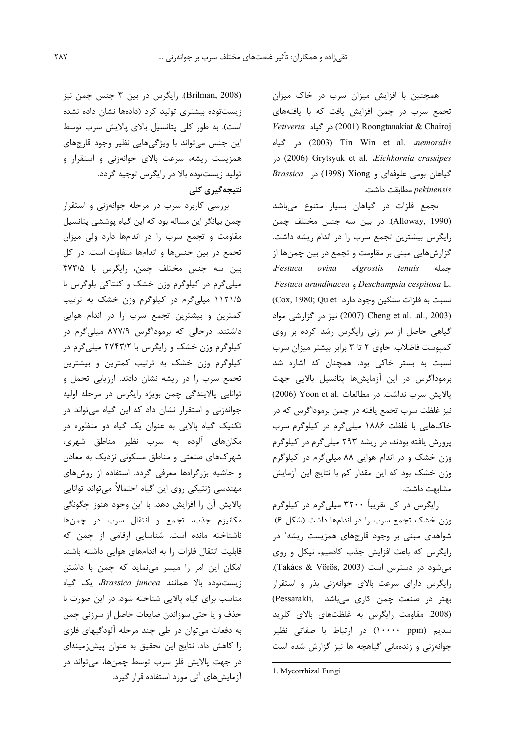همچنین با افزایش میزان سرب در خاک میزان تجمع سرب در چمن افزایش یافت که با یافتههای *Vetiveria* در گیاه (2001) Roongtanakiat & Chairoj در گیاه (2003) Tin Win et al. *nemoralis* در (2006) Grytsyuk et al. *Eichhornia crassipes* Brassica (1998) Xiong و Xiong (1998) در pekinensis مطابقت داشت.

تجمع فلزات در گیاهان بسیار متنوع میباشد (Alloway, 1990). در بين سه جنس مختلف چمن رایگرس بیشترین تجمع سرب را در اندام ریشه داشت. گزارشهایی مبنی بر مقاومت و تجمع در بین چمنها از Festuca ovina Agrostis tenuis حمله Festuca arundinacea , Deschampsia cespitosa L. نسبت به فلزات سنگین وجود دارد Cox, 1980; Qu et) نیز در گزارشی مواد) Cheng et al. .al., 2003) گیاهی حاصل از سر زنی رایگرس رشد کرده بر روی کمپوست فاضلاب، حاوی ۲ تا ۳ برابر بیشتر میزان سرب نسبت به بستر خاکی بود. همچنان که اشاره شد برموداگرس در این آزمایشها پتانسیل بالایی جهت يالايش سرب نداشت. در مطالعات .Yoon et al (2006) نیز غلظت سرب تجمع یافته در چمن برموداگرس که در خاکهایی با غلظت ۱۸۸۶ میلیگرم در کیلوگرم سرب پرورش یافته بودند، در ریشه ۲۹۳ میلیگرم در کیلوگرم وزن خشک و در اندام هوایی ۸۸ میلیگرم در کیلوگرم وزن خشک بود که این مقدار کم با نتایج این آزمایش مشابهت داشت.

رایگرس در کل تقریباً ۳۲۰۰ میلی گرم در کیلوگرم وزن خشک تجمع سرب را در اندامها داشت (شکل ۶). شواهدی مبنی بر وجود قارچهای همزیست ریشه<sup>۱</sup> در رایگرس که باعث افزایش جذب کادمیم، نیکل و روی می شود در دسترس است (Takács & Vörös, 2003). رایگرس دارای سرعت بالای جوانهزنی بذر و استقرار بهتر در صنعت چمن کاری میباشد .Pessarakli) (2008. مقاومت رایگرس به غلظتهای بالای کلرید سدیم (ppm) در ارتباط با صفاتی نظیر جوانهزنی و زندهمانی گیاهچه ها نیز گزارش شده است

1. Mycorrhizal Fungi

(Brilman, 2008). رایگرس در بین ۳ جنس چمن نیز زیستتوده بیشتری تولید کرد (دادهها نشان داده نشده است). به طور کلی پتانسیل بالای پالایش سرب توسط این جنس میتواند با ویژگیهایی نظیر وجود قارچهای همزیست ریشه، سرعت بالای جوانهزنی و استقرار و تولید زیستتوده بالا در رایگرس توجیه گردد. نتىجەگىرى كلى

بررسی کاربرد سرب در مرحله جوانهزنی و استقرار چمن بیانگر این مساله بود که این گیاه پوششی پتانسیل مقاومت و تجمع سرب را در اندامها دارد ولی میزان تجمع در بین جنسها و اندامها متفاوت است. در کل بين سه جنس مختلف چمن، رايگرس با ۴۷۳/۵ میلی گرم در کیلوگرم وزن خشک و کنتاکی بلوگرس با ۱۱۲۱/۵ میلیگرم در کیلوگرم وزن خشک به ترتیب کمترین و بیشترین تجمع سرب را در اندام هوایی داشتند. درحالی که برموداگرس ۸۷۷/۹ میلیگرم در کیلوگرم وزن خشک و رایگرس با ۲۷۴۳/۲ میلی گرم در کیلوگرم وزن خشک به ترتیب کمترین و بیشترین تجمع سرب را در ریشه نشان دادند. ارزیابی تحمل و توانایی پالایندگی چمن بویژه رایگرس در مرحله اولیه جوانهزنی و استقرار نشان داد که این گیاه میتواند در تکنیک گیاه پالایی به عنوان یک گیاه دو منظوره در مکانهای آلوده به سرب نظیر مناطق شهری، شهرکهای صنعتی و مناطق مسکونی نزدیک به معادن و حاشیه بزرگراهها معرفی گردد. استفاده از روشهای مهندسی ژنتیکی روی این گیاه احتمالاً می تواند توانایی پالایش آن را افزایش دهد. با این وجود هنوز چگونگی مكانيزم جذب، تجمع و انتقال سرب در چمنها ناشناخته مانده است. شناسایی ارقامی از چمن که قابلیت انتقال فلزات را به اندامهای هوایی داشته باشند امکان این امر را میسر مینماید که چمن با داشتن زیستتوده بالا همانند *Brassica juncea* یک گیاه مناسب برای گیاه پالایی شناخته شود. در این صورت با حذف و یا حتی سوزاندن ضایعات حاصل از سرزنی چمن به دفعات می توان در طی چند مرحله آلودگیهای فلزی را كاهش داد. نتايج اين تحقيق به عنوان پيش;مينهای در جهت پالايش فلز سرب توسط چمنها، مىتواند در آزمایش های آتی مورد استفاده قرار گیرد.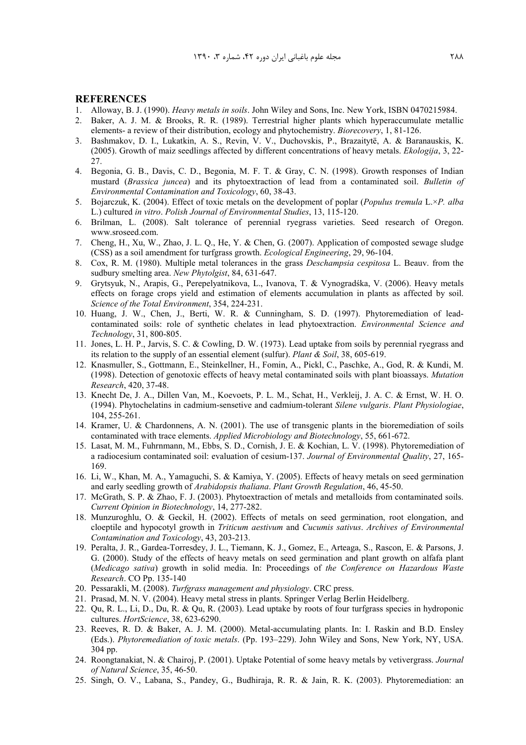#### **REFERENCES**

- 1. Alloway, B. J. (1990). *Heavy metals in soils*. John Wiley and Sons, Inc. New York, ISBN 0470215984.
- 2. Baker, A. J. M. & Brooks, R. R. (1989). Terrestrial higher plants which hyperaccumulate metallic elements- a review of their distribution, ecology and phytochemistry. *Biorecovery*, 1, 81-126.
- 3. Bashmakov, D. I., Lukatkin, A. S., Revin, V. V., Duchovskis, P., Brazaitytë, A. & Baranauskis, K. (2005). Growth of maiz seedlings affected by different concentrations of heavy metals. *Ekologija*, 3, 22- 27.
- 4. Begonia, G. B., Davis, C. D., Begonia, M. F. T. & Gray, C. N. (1998). Growth responses of Indian mustard (*Brassica juncea*) and its phytoextraction of lead from a contaminated soil. *Bulletin of Environmental Contamination and Toxicology*, 60, 38-43.
- 5. Bojarczuk, K. (2004). Effect of toxic metals on the development of poplar (*Populus tremula* L.×*P. alba* L.) cultured *in vitro*. *Polish Journal of Environmental Studies*, 13, 115-120.
- 6. Brilman, L. (2008). Salt tolerance of perennial ryegrass varieties. Seed research of Oregon. www.sroseed.com.
- 7. Cheng, H., Xu, W., Zhao, J. L. Q., He, Y. & Chen, G. (2007). Application of composted sewage sludge (CSS) as a soil amendment for turfgrass growth. *Ecological Engineering*, 29, 96-104.
- 8. Cox, R. M. (1980). Multiple metal tolerances in the grass *Deschampsia cespitosa* L. Beauv. from the sudbury smelting area. *New Phytolgist*, 84, 631-647.
- 9. Grytsyuk, N., Arapis, G., Perepelyatnikova, L., Ivanova, T. & Vynogradśka, V. (2006). Heavy metals effects on forage crops yield and estimation of elements accumulation in plants as affected by soil. *Science of the Total Environment*, 354, 224-231.
- 10. Huang, J. W., Chen, J., Berti, W. R. & Cunningham, S. D. (1997). Phytoremediation of leadcontaminated soils: role of synthetic chelates in lead phytoextraction. *Environmental Science and Technology*, 31, 800-805.
- 11. Jones, L. H. P., Jarvis, S. C. & Cowling, D. W. (1973). Lead uptake from soils by perennial ryegrass and its relation to the supply of an essential element (sulfur). *Plant & Soil*, 38, 605-619.
- 12. Knasmuller, S., Gottmann, E., Steinkellner, H., Fomin, A., Pickl, C., Paschke, A., God, R. & Kundi, M. (1998). Detection of genotoxic effects of heavy metal contaminated soils with plant bioassays. *Mutation Research*, 420, 37-48.
- 13. Knecht De, J. A., Dillen Van, M., Koevoets, P. L. M., Schat, H., Verkleij, J. A. C. & Ernst, W. H. O. (1994). Phytochelatins in cadmium-sensetive and cadmium-tolerant *Silene vulgaris*. *Plant Physiologiae*, 104, 255-261.
- 14. Kramer, U. & Chardonnens, A. N. (2001). The use of transgenic plants in the bioremediation of soils contaminated with trace elements. *Applied Microbiology and Biotechnology*, 55, 661-672.
- 15. Lasat, M. M., Fuhrnmann, M., Ebbs, S. D., Cornish, J. E. & Kochian, L. V. (1998). Phytoremediation of a radiocesium contaminated soil: evaluation of cesium-137. *Journal of Environmental Quality*, 27, 165- 169.
- 16. Li, W., Khan, M. A., Yamaguchi, S. & Kamiya, Y. (2005). Effects of heavy metals on seed germination and early seedling growth of *Arabidopsis thaliana*. *Plant Growth Regulation*, 46, 45-50.
- 17. McGrath, S. P. & Zhao, F. J. (2003). Phytoextraction of metals and metalloids from contaminated soils. *Current Opinion in Biotechnology*, 14, 277-282.
- 18. Munzuroghlu, O. & Geckil, H. (2002). Effects of metals on seed germination, root elongation, and cloeptile and hypocotyl growth in *Triticum aestivum* and *Cucumis sativus*. *Archives of Environmental Contamination and Toxicology*, 43, 203-213.
- 19. Peralta, J. R., Gardea-Torresdey, J. L., Tiemann, K. J., Gomez, E., Arteaga, S., Rascon, E. & Parsons, J. G. (2000). Study of the effects of heavy metals on seed germination and plant growth on alfafa plant (*Medicago sativa*) growth in solid media. In: Proceedings of *the Conference on Hazardous Waste Research*. CO Pp. 135-140
- 20. Pessarakli, M. (2008). *Turfgrass management and physiology*. CRC press.
- 21. Prasad, M. N. V. (2004). Heavy metal stress in plants. Springer Verlag Berlin Heidelberg.
- 22. Qu, R. L., Li, D., Du, R. & Qu, R. (2003). Lead uptake by roots of four turfgrass species in hydroponic cultures. *HortScience*, 38, 623-6290.
- 23. Reeves, R. D. & Baker, A. J. M. (2000). Metal-accumulating plants. In: I. Raskin and B.D. Ensley (Eds.). *Phytoremediation of toxic metals*. (Pp. 193–229). John Wiley and Sons, New York, NY, USA. 304 pp.
- 24. Roongtanakiat, N. & Chairoj, P. (2001). Uptake Potential of some heavy metals by vetivergrass. *Journal of Natural Science*, 35, 46-50.
- 25. Singh, O. V., Labana, S., Pandey, G., Budhiraja, R. R. & Jain, R. K. (2003). Phytoremediation: an